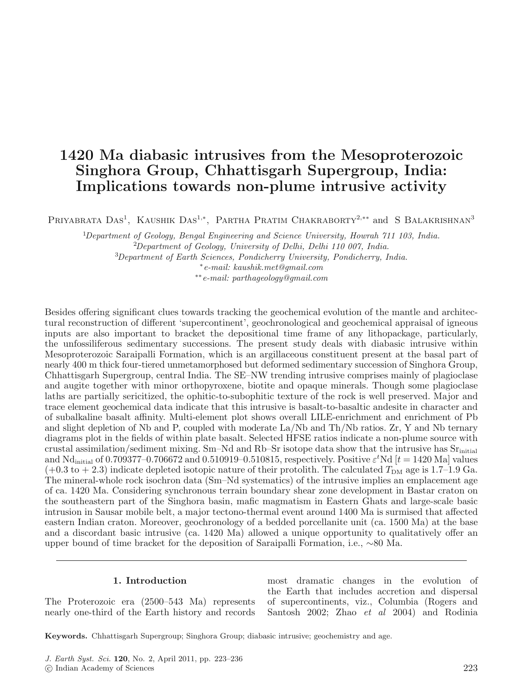# **1420 Ma diabasic intrusives from the Mesoproterozoic Singhora Group, Chhattisgarh Supergroup, India: Implications towards non-plume intrusive activity**

PRIYABRATA DAS<sup>1</sup>, KAUSHIK DAS<sup>1,\*</sup>, PARTHA PRATIM CHAKRABORTY<sup>2,\*\*</sup> and S BALAKRISHNAN<sup>3</sup>

<sup>1</sup>Department of Geology, Bengal Engineering and Science University, Howrah 711 103, India. <sup>2</sup>Department of Geology, University of Delhi, Delhi 110 007, India. 3 Department of Earth Sciences, Pondicherry University, Pondicherry, India. <sup>∗</sup>e-mail: kaushik.met@gmail.com

∗∗e-mail: parthageology@gmail.com

Besides offering significant clues towards tracking the geochemical evolution of the mantle and architectural reconstruction of different 'supercontinent', geochronological and geochemical appraisal of igneous inputs are also important to bracket the depositional time frame of any lithopackage, particularly, the unfossiliferous sedimentary successions. The present study deals with diabasic intrusive within Mesoproterozoic Saraipalli Formation, which is an argillaceous constituent present at the basal part of nearly 400 m thick four-tiered unmetamorphosed but deformed sedimentary succession of Singhora Group, Chhattisgarh Supergroup, central India. The SE–NW trending intrusive comprises mainly of plagioclase and augite together with minor orthopyroxene, biotite and opaque minerals. Though some plagioclase laths are partially sericitized, the ophitic-to-subophitic texture of the rock is well preserved. Major and trace element geochemical data indicate that this intrusive is basalt-to-basaltic andesite in character and of subalkaline basalt affinity. Multi-element plot shows overall LILE-enrichment and enrichment of Pb and slight depletion of Nb and P, coupled with moderate La/Nb and Th/Nb ratios. Zr, Y and Nb ternary diagrams plot in the fields of within plate basalt. Selected HFSE ratios indicate a non-plume source with crustal assimilation/sediment mixing. Sm–Nd and Rb–Sr isotope data show that the intrusive has  $Sr<sub>initial</sub>$ and Nd<sub>initial</sub> of 0.709377–0.706672 and 0.510919–0.510815, respectively. Positive  $\varepsilon^t$ Nd [ $t = 1420$  Ma] values  $(+0.3 \text{ to } +2.3)$  indicate depleted isotopic nature of their protolith. The calculated  $T_{DM}$  age is 1.7–1.9 Ga. The mineral-whole rock isochron data (Sm–Nd systematics) of the intrusive implies an emplacement age of ca. 1420 Ma. Considering synchronous terrain boundary shear zone development in Bastar craton on the southeastern part of the Singhora basin, mafic magmatism in Eastern Ghats and large-scale basic intrusion in Sausar mobile belt, a major tectono-thermal event around 1400 Ma is surmised that affected eastern Indian craton. Moreover, geochronology of a bedded porcellanite unit (ca. 1500 Ma) at the base and a discordant basic intrusive (ca. 1420 Ma) allowed a unique opportunity to qualitatively offer an upper bound of time bracket for the deposition of Saraipalli Formation, i.e., ∼80 Ma.

# **1. Introduction**

The Proterozoic era (2500–543 Ma) represents nearly one-third of the Earth history and records

most dramatic changes in the evolution of the Earth that includes accretion and dispersal of supercontinents, viz., Columbia (Rogers and Santosh 2002; Zhao et al 2004) and Rodinia

**Keywords.** Chhattisgarh Supergroup; Singhora Group; diabasic intrusive; geochemistry and age.

<sup>-</sup>c Indian Academy of Sciences 223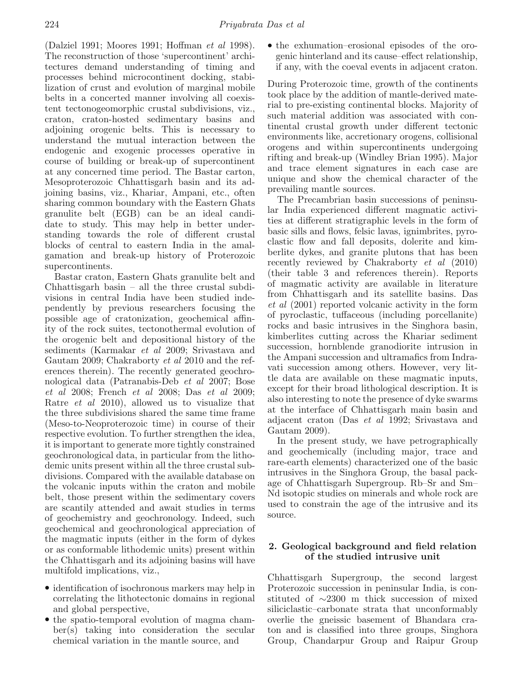(Dalziel 1991; Moores 1991; Hoffman et al 1998). The reconstruction of those 'supercontinent' architectures demand understanding of timing and processes behind microcontinent docking, stabilization of crust and evolution of marginal mobile belts in a concerted manner involving all coexistent tectonogeomorphic crustal subdivisions, viz., craton, craton-hosted sedimentary basins and adjoining orogenic belts. This is necessary to understand the mutual interaction between the endogenic and exogenic processes operative in course of building or break-up of supercontinent at any concerned time period. The Bastar carton, Mesoproterozoic Chhattisgarh basin and its adjoining basins, viz., Khariar, Ampani, etc., often sharing common boundary with the Eastern Ghats granulite belt (EGB) can be an ideal candidate to study. This may help in better understanding towards the role of different crustal blocks of central to eastern India in the amalgamation and break-up history of Proterozoic supercontinents.

Bastar craton, Eastern Ghats granulite belt and Chhattisgarh basin – all the three crustal subdivisions in central India have been studied independently by previous researchers focusing the possible age of cratonization, geochemical affinity of the rock suites, tectonothermal evolution of the orogenic belt and depositional history of the sediments (Karmakar et al 2009; Srivastava and Gautam 2009; Chakraborty et al 2010 and the references therein). The recently generated geochronological data (Patranabis-Deb et al 2007; Bose et al 2008; French et al 2008; Das et al 2009; Ratre et al 2010), allowed us to visualize that the three subdivisions shared the same time frame (Meso-to-Neoproterozoic time) in course of their respective evolution. To further strengthen the idea, it is important to generate more tightly constrained geochronological data, in particular from the lithodemic units present within all the three crustal subdivisions. Compared with the available database on the volcanic inputs within the craton and mobile belt, those present within the sedimentary covers are scantily attended and await studies in terms of geochemistry and geochronology. Indeed, such geochemical and geochronological appreciation of the magmatic inputs (either in the form of dykes or as conformable lithodemic units) present within the Chhattisgarh and its adjoining basins will have multifold implications, viz.,

- identification of isochronous markers may help in correlating the lithotectonic domains in regional and global perspective,
- the spatio-temporal evolution of magma chamber(s) taking into consideration the secular chemical variation in the mantle source, and

• the exhumation–erosional episodes of the orogenic hinterland and its cause–effect relationship, if any, with the coeval events in adjacent craton.

During Proterozoic time, growth of the continents took place by the addition of mantle-derived material to pre-existing continental blocks. Majority of such material addition was associated with continental crustal growth under different tectonic environments like, accretionary orogens, collisional orogens and within supercontinents undergoing rifting and break-up (Windley Brian 1995). Major and trace element signatures in each case are unique and show the chemical character of the prevailing mantle sources.

The Precambrian basin successions of peninsular India experienced different magmatic activities at different stratigraphic levels in the form of basic sills and flows, felsic lavas, ignimbrites, pyroclastic flow and fall deposits, dolerite and kimberlite dykes, and granite plutons that has been recently reviewed by Chakraborty et al (2010) (their table 3 and references therein). Reports of magmatic activity are available in literature from Chhattisgarh and its satellite basins. Das et al (2001) reported volcanic activity in the form of pyroclastic, tuffaceous (including porcellanite) rocks and basic intrusives in the Singhora basin, kimberlites cutting across the Khariar sediment succession, hornblende granodiorite intrusion in the Ampani succession and ultramafics from Indravati succession among others. However, very little data are available on these magmatic inputs, except for their broad lithological description. It is also interesting to note the presence of dyke swarms at the interface of Chhattisgarh main basin and adjacent craton (Das et al 1992; Srivastava and Gautam 2009).

In the present study, we have petrographically and geochemically (including major, trace and rare-earth elements) characterized one of the basic intrusives in the Singhora Group, the basal package of Chhattisgarh Supergroup. Rb–Sr and Sm– Nd isotopic studies on minerals and whole rock are used to constrain the age of the intrusive and its source.

# **2. Geological background and field relation of the studied intrusive unit**

Chhattisgarh Supergroup, the second largest Proterozoic succession in peninsular India, is constituted of ∼2300 m thick succession of mixed siliciclastic–carbonate strata that unconformably overlie the gneissic basement of Bhandara craton and is classified into three groups, Singhora Group, Chandarpur Group and Raipur Group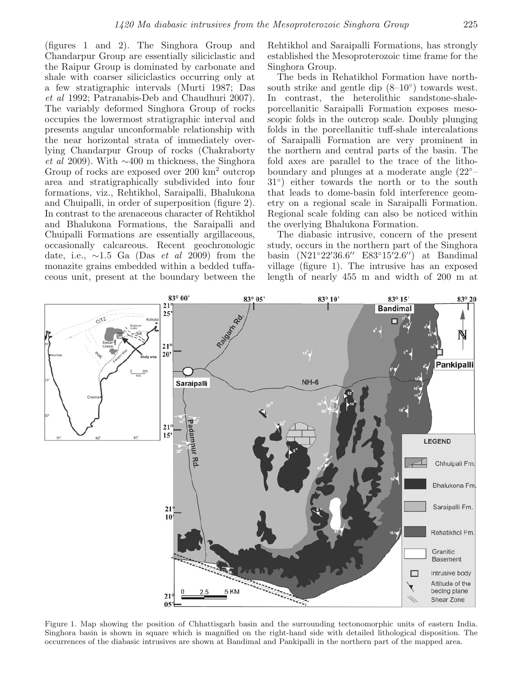(figures 1 and 2). The Singhora Group and Chandarpur Group are essentially siliciclastic and the Raipur Group is dominated by carbonate and shale with coarser siliciclastics occurring only at a few stratigraphic intervals (Murti 1987; Das et al 1992; Patranabis-Deb and Chaudhuri 2007). The variably deformed Singhora Group of rocks occupies the lowermost stratigraphic interval and presents angular unconformable relationship with the near horizontal strata of immediately overlying Chandarpur Group of rocks (Chakraborty et al 2009). With ∼400 m thickness, the Singhora Group of rocks are exposed over 200 km<sup>2</sup> outcrop area and stratigraphically subdivided into four formations, viz., Rehtikhol, Saraipalli, Bhalukona and Chuipalli, in order of superposition (figure 2). In contrast to the arenaceous character of Rehtikhol and Bhalukona Formations, the Saraipalli and Chuipalli Formations are essentially argillaceous, occasionally calcareous. Recent geochronologic date, i.e.,  $\sim$ 1.5 Ga (Das *et al* 2009) from the monazite grains embedded within a bedded tuffaceous unit, present at the boundary between the Rehtikhol and Saraipalli Formations, has strongly established the Mesoproterozoic time frame for the Singhora Group.

The beds in Rehatikhol Formation have northsouth strike and gentle dip  $(8-10°)$  towards west. In contrast, the heterolithic sandstone-shaleporcellanitic Saraipalli Formation exposes mesoscopic folds in the outcrop scale. Doubly plunging folds in the porcellanitic tuff-shale intercalations of Saraipalli Formation are very prominent in the northern and central parts of the basin. The fold axes are parallel to the trace of the lithoboundary and plunges at a moderate angle (22◦– 31◦) either towards the north or to the south that leads to dome-basin fold interference geometry on a regional scale in Saraipalli Formation. Regional scale folding can also be noticed within the overlying Bhalukona Formation.

The diabasic intrusive, concern of the present study, occurs in the northern part of the Singhora basin (N21°22'36.6" E83°15'2.6") at Bandimal village (figure 1). The intrusive has an exposed length of nearly 455 m and width of 200 m at



Figure 1. Map showing the position of Chhattisgarh basin and the surrounding tectonomorphic units of eastern India. Singhora basin is shown in square which is magnified on the right-hand side with detailed lithological disposition. The occurrences of the diabasic intrusives are shown at Bandimal and Pankipalli in the northern part of the mapped area.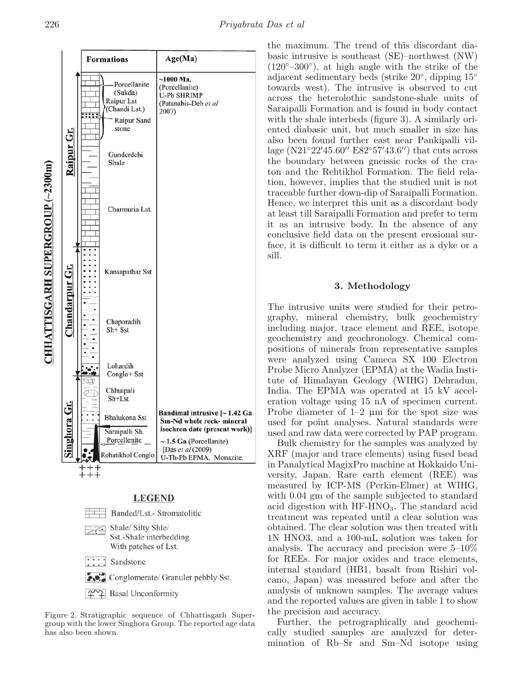



Figure 2. Stratigraphic sequence of Chhattisgarh Supergroup with the lower Singhora Group. The reported age data has also been shown.

the maximum. The trend of this discordant diabasic intrusive is southeast (SE)–northwest (NW)  $(120°-300°)$ , at high angle with the strike of the adjacent sedimentary beds (strike 20◦, dipping 15◦ towards west). The intrusive is observed to cut across the heterolothic sandstone-shale units of Saraipalli Formation and is found in body contact with the shale interbeds (figure 3). A similarly oriented diabasic unit, but much smaller in size has also been found further east near Pankipalli village  $(N21°22'45.60'' E82°57'43.6'')$  that cuts across the boundary between gneissic rocks of the craton and the Rehtikhol Formation. The field relation, however, implies that the studied unit is not traceable further down-dip of Saraipalli Formation. Hence, we interpret this unit as a discordant body at least till Saraipalli Formation and prefer to term it as an intrusive body. In the absence of any conclusive field data on the present erosional surface, it is difficult to term it either as a dyke or a sill.

# **3. Methodology**

The intrusive units were studied for their petrography, mineral chemistry, bulk geochemistry including major, trace element and REE, isotope geochemistry and geochronology. Chemical compositions of minerals from representative samples were analyzed using Cameca SX 100 Electron Probe Micro Analyzer (EPMA) at the Wadia Institute of Himalayan Geology (WIHG) Dehradun, India. The EPMA was operated at 15 kV acceleration voltage using 15 nA of specimen current. Probe diameter of  $1-2$  µm for the spot size was used for point analyses. Natural standards were used and raw data were corrected by PAP program.

Bulk chemistry for the samples was analyzed by XRF (major and trace elements) using fused bead in Panalytical MagixPro machine at Hokkaido University, Japan. Rare earth element (REE) was measured by ICP-MS (Perkin-Elmer) at WIHG, with 0.04 gm of the sample subjected to standard acid digestion with  $HF-HNO<sub>3</sub>$ . The standard acid treatment was repeated until a clear solution was obtained. The clear solution was then treated with 1N HNO3, and a 100-mL solution was taken for analysis. The accuracy and precision were 5–10% for REEs. For major oxides and trace elements, internal standard (HB1, basalt from Rishiri volcano, Japan) was measured before and after the analysis of unknown samples. The average values and the reported values are given in table 1 to show the precision and accuracy.

Further, the petrographically and geochemically studied samples are analyzed for determination of Rb–Sr and Sm–Nd isotope using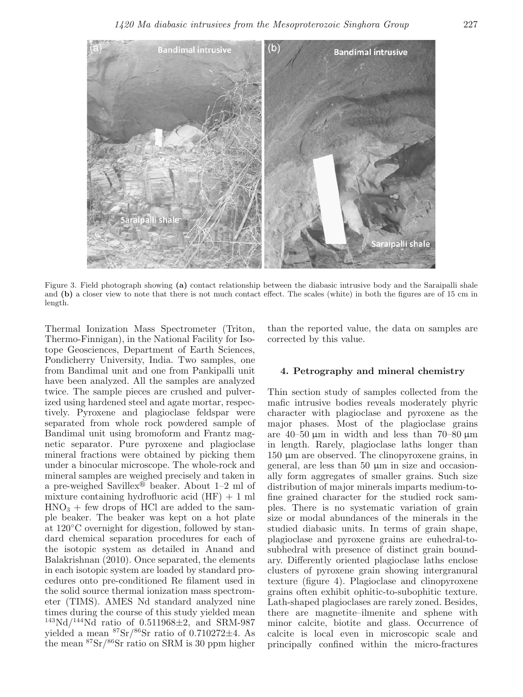

Figure 3. Field photograph showing **(a)** contact relationship between the diabasic intrusive body and the Saraipalli shale and **(b)** a closer view to note that there is not much contact effect. The scales (white) in both the figures are of 15 cm in length.

Thermal Ionization Mass Spectrometer (Triton, Thermo-Finnigan), in the National Facility for Isotope Geosciences, Department of Earth Sciences, Pondicherry University, India. Two samples, one from Bandimal unit and one from Pankipalli unit have been analyzed. All the samples are analyzed twice. The sample pieces are crushed and pulverized using hardened steel and agate mortar, respectively. Pyroxene and plagioclase feldspar were separated from whole rock powdered sample of Bandimal unit using bromoform and Frantz magnetic separator. Pure pyroxene and plagioclase mineral fractions were obtained by picking them under a binocular microscope. The whole-rock and mineral samples are weighed precisely and taken in a pre-weighed Savillex<sup>®</sup> beaker. About 1-2 ml of mixture containing hydrofluoric acid  $(HF) + 1$  ml  $HNO<sub>3</sub> + few drops of HCl are added to the sam$ ple beaker. The beaker was kept on a hot plate at 120◦C overnight for digestion, followed by standard chemical separation procedures for each of the isotopic system as detailed in Anand and Balakrishnan (2010). Once separated, the elements in each isotopic system are loaded by standard procedures onto pre-conditioned Re filament used in the solid source thermal ionization mass spectrometer (TIMS). AMES Nd standard analyzed nine times during the course of this study yielded mean  $143Nd/144Nd$  ratio of 0.511968 $\pm$ 2, and SRM-987 yielded a mean  ${}^{87}\mathrm{Sr}/{}^{86}\mathrm{Sr}$  ratio of 0.710272 $\pm4$ . As the mean  ${}^{87}\text{Sr}/{}^{86}\text{Sr}$  ratio on SRM is 30 ppm higher

than the reported value, the data on samples are corrected by this value.

# **4. Petrography and mineral chemistry**

Thin section study of samples collected from the mafic intrusive bodies reveals moderately phyric character with plagioclase and pyroxene as the major phases. Most of the plagioclase grains are  $40-50 \mu m$  in width and less than 70–80  $\mu$ m in length. Rarely, plagioclase laths longer than 150 μm are observed. The clinopyroxene grains, in general, are less than 50 μm in size and occasionally form aggregates of smaller grains. Such size distribution of major minerals imparts medium-tofine grained character for the studied rock samples. There is no systematic variation of grain size or modal abundances of the minerals in the studied diabasic units. In terms of grain shape, plagioclase and pyroxene grains are euhedral-tosubhedral with presence of distinct grain boundary. Differently oriented plagioclase laths enclose clusters of pyroxene grain showing intergranural texture (figure 4). Plagioclase and clinopyroxene grains often exhibit ophitic-to-subophitic texture. Lath-shaped plagioclases are rarely zoned. Besides, there are magnetite–ilmenite and sphene with minor calcite, biotite and glass. Occurrence of calcite is local even in microscopic scale and principally confined within the micro-fractures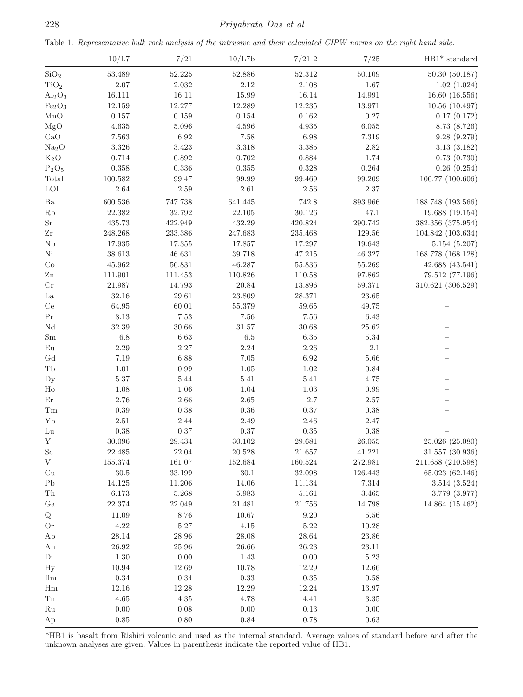Table 1. Representative bulk rock analysis of the intrusive and their calculated CIPW norms on the right hand side.

|                                 | 10/L7           | 7/21                | 10/L7b             | 7/21.2          | 7/25               | $\mathrm{HB1}^*$ standard        |
|---------------------------------|-----------------|---------------------|--------------------|-----------------|--------------------|----------------------------------|
| SiO <sub>2</sub>                | 53.489          | $52.225\,$          | 52.886             | $52.312\,$      | 50.109             | 50.30(50.187)                    |
| TiO <sub>2</sub>                | $2.07\,$        | $2.032\,$           | $2.12\,$           | $2.108\,$       | 1.67               | 1.02(1.024)                      |
| $Al_2O_3$                       | 16.111          | $16.11\,$           | 15.99              | $16.14\,$       | 14.991             | 16.60(16.556)                    |
| Fe <sub>2</sub> O <sub>3</sub>  | 12.159          | 12.277              | 12.289             | $12.235\,$      | 13.971             | 10.56(10.497)                    |
| MnO                             | $0.157\,$       | $\,0.159\,$         | $\,0.154\,$        | $\,0.162\,$     | $0.27\,$           | 0.17(0.172)                      |
| MgO                             | $4.635\,$       | $5.096\,$           | $4.596\,$          | $4.935\,$       | $6.055\,$          | 8.73 (8.726)                     |
| CaO                             | 7.563           | 6.92                | $7.58\,$           | $6.98\,$        | 7.319              | 9.28(9.279)                      |
| Na <sub>2</sub> O               | $3.326\,$       | $3.423\,$           | $3.318\,$          | $3.385\,$       | $2.82\,$           | 3.13(3.182)                      |
| $K_2O$                          | 0.714           | 0.892               | $0.702\,$          | $\,0.884\,$     | 1.74               | 0.73(0.730)                      |
| $P_2O_5$                        | $0.358\,$       | 0.336               | 0.355              | $0.328\,$       | $\,0.264\,$        | 0.26(0.254)                      |
| Total                           | 100.582         | 99.47               | 99.99              | 99.469          | 99.209             | 100.77 (100.606)                 |
| LOI                             | $2.64\,$        | $2.59\,$            | $2.61\,$           | $2.56\,$        | $2.37\,$           |                                  |
| $\rm Ba$                        | 600.536         | 747.738             | 641.445            | 742.8           | 893.966            | 188.748 (193.566)                |
| $\mathbf{R}\mathbf{b}$          | 22.382          | 32.792              | 22.105             | $30.126\,$      | 47.1               | 19.688 (19.154)                  |
| $\rm Sr$                        | 435.73          | 422.949             | 432.29             | 420.824         | 290.742            | 382.356 (375.954)                |
| $\operatorname{Zr}$             | 248.268         | 233.386             | 247.683            | 235.468         | 129.56             | 104.842 (103.634)                |
| Nb                              | 17.935          | 17.355              | 17.857             | 17.297          | 19.643             | 5.154(5.207)                     |
| $\rm Ni$                        | 38.613          | 46.631              | 39.718             | $47.215\,$      | 46.327             | 168.778 (168.128)                |
| $\rm{Co}$                       | 45.962          | 56.831              | 46.287             | $55.836\,$      | 55.269             | 42.688 (43.541)                  |
| $\mathbf{Zn}$                   | 111.901         | 111.453             | 110.826            | 110.58          | 97.862             | 79.512 (77.196)                  |
| $\rm Cr$                        | 21.987          | 14.793              | $20.84\,$          | $13.896\,$      | 59.371             | 310.621 (306.529)                |
| $\rm La$                        | $32.16\,$       | $\hphantom{0}29.61$ | 23.809             | 28.371          | $23.65\,$          |                                  |
| $\rm Ce$                        | $64.95\,$       | 60.01               | $55.379\,$         | $59.65\,$       | $\rm 49.75$        |                                  |
| $\Pr$                           | $8.13\,$        | $7.53\,$            | $7.56\,$           | $7.56\,$        | 6.43               |                                  |
| $\rm Nd$                        | $32.39\,$       | $30.66\,$           | $31.57\,$          | $30.68\,$       | $25.62\,$          |                                  |
| $\rm Sm$                        | $6.8\,$         | 6.63                | $6.5\,$            | $6.35\,$        | $5.34\,$           |                                  |
| $\mathop{\mathrm{Eu}}\nolimits$ | $2.29\,$        | $2.27\,$            | $2.24\,$           | $2.26\,$        | $2.1\,$            |                                  |
| $\rm{Gd}$                       | $7.19\,$        | 6.88                | $7.05\,$           | $6.92\,$        | $5.66\,$           |                                  |
| $\operatorname{Tb}$             | $1.01\,$        | 0.99                | $1.05\,$           | $1.02\,$        | $0.84\,$           |                                  |
| $_{\rm Dy}$                     | $5.37\,$        | 5.44                | $5.41\,$           | $5.41\,$        | 4.75               |                                  |
| $H_0$                           | 1.08            | 1.06                | $1.04\,$           | $1.03\,$        | $0.99\,$           |                                  |
| $\mathop{\rm Er}\nolimits$      | $2.76\,$        | $2.66\,$            | $2.65\,$           | $2.7\,$         | $2.57\,$           |                                  |
| $\operatorname{Tm}$             | $0.39\,$        | $0.38\,$            | $0.36\,$           | $0.37\,$        | $0.38\,$           |                                  |
| ${\bf Yb}$                      | $2.51\,$        | 2.44                | $2.49\,$           | $2.46\,$        | $2.47\,$           |                                  |
| ${\rm Lu}$                      | 0.38            | $0.37\,$            | $0.37\,$           | $0.35\,$        | $0.38\,$           |                                  |
| $\mathbf Y$                     | $30.096\,$      | 29.434              | 30.102             | 29.681          | $26.055\,$         | 25.026 (25.080)                  |
| $_{\rm Sc}$                     |                 |                     |                    |                 |                    | 31.557 (30.936)                  |
| V                               | 22.485          | 22.04<br>161.07     | 20.528<br>152.684  | 21.657          | 41.221             | 211.658 (210.598)                |
|                                 | 155.374         |                     | $30.1\,$           | 160.524         | 272.981<br>126.443 |                                  |
| Cu<br>${\rm Pb}$                | 30.5            | 33.199              |                    | 32.098          |                    | 65.023 (62.146)                  |
| ${\rm Th}$                      | 14.125<br>6.173 | 11.206              | 14.06<br>$5.983\,$ | 11.134<br>5.161 | 7.314              | 3.514(3.524)                     |
| Ga                              | 22.374          | 5.268<br>22.049     | $21.481\,$         | $21.756\,$      | 3.465<br>14.798    | 3.779 (3.977)<br>14.864 (15.462) |
| ${\bf Q}$                       | 11.09           | 8.76                | 10.67              | 9.20            | $5.56\,$           |                                  |
| Or                              | 4.22            | $5.27\,$            | 4.15               | $5.22\,$        | 10.28              |                                  |
| Ab                              | 28.14           | 28.96               | 28.08              | 28.64           | 23.86              |                                  |
|                                 |                 |                     |                    | 26.23           |                    |                                  |
| An<br>Di                        | 26.92           | 25.96<br>0.00       | 26.66              |                 | 23.11<br>5.23      |                                  |
|                                 | 1.30<br>10.94   |                     | 1.43<br>10.78      | 0.00<br>12.29   |                    |                                  |
| Hy                              |                 | 12.69               |                    |                 | 12.66              |                                  |
| Ilm                             | 0.34            | 0.34                | $\rm 0.33$         | 0.35            | 0.58               |                                  |
| Hm<br>${\rm Tn}$                | 12.16<br>4.65   | 12.28<br>4.35       | 12.29<br>4.78      | 12.24<br>4.41   | 13.97<br>$3.35\,$  |                                  |
| Ru                              | 0.00            | $0.08\,$            | 0.00               | 0.13            | $0.00\,$           |                                  |
|                                 |                 |                     |                    |                 |                    |                                  |
| Ap                              | 0.85            | 0.80                | 0.84               | $0.78\,$        | $\,0.63\,$         |                                  |

\*HB1 is basalt from Rishiri volcanic and used as the internal standard. Average values of standard before and after the unknown analyses are given. Values in parenthesis indicate the reported value of HB1.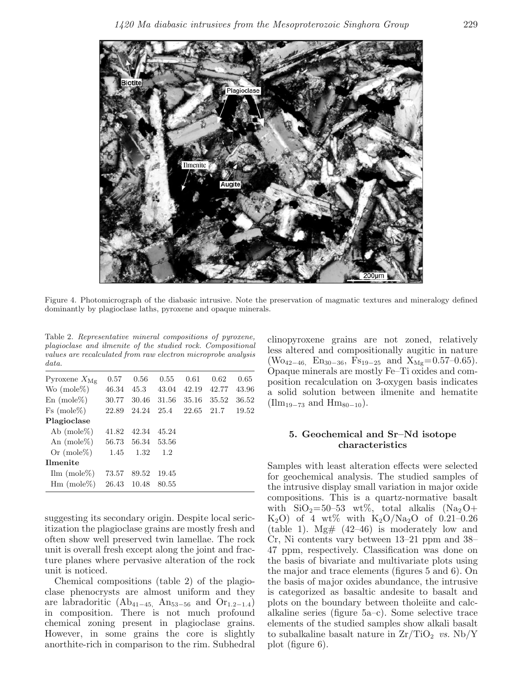

Figure 4. Photomicrograph of the diabasic intrusive. Note the preservation of magmatic textures and mineralogy defined dominantly by plagioclase laths, pyroxene and opaque minerals.

Table 2. Representative mineral compositions of pyroxene, plagioclase and ilmenite of the studied rock. Compositional values are recalculated from raw electron microprobe analysis data.

| Pyroxene $X_{\text{Mg}}$  | 0.57  | 0.56  | 0.55  | 0.61  | 0.62  | 0.65  |
|---------------------------|-------|-------|-------|-------|-------|-------|
| Wo $(mole\%)$             | 46.34 | 45.3  | 43.04 | 42.19 | 42.77 | 43.96 |
| $En \ (mole\%)$           | 30.77 | 30.46 | 31.56 | 35.16 | 35.52 | 36.52 |
| $Fs \ (mole\%)$           | 22.89 | 24.24 | 25.4  | 22.65 | 21.7  | 19.52 |
| Plagioclase               |       |       |       |       |       |       |
| Ab $(mole\%)$             | 41.82 | 42.34 | 45.24 |       |       |       |
| An $(mole\%)$             | 56.73 | 56.34 | 53.56 |       |       |       |
| Or $(mole\%)$             | 1.45  | 1.32  | 1.2   |       |       |       |
| <b>Ilmenite</b>           |       |       |       |       |       |       |
| $\text{Ilm}$ (mole $\%$ ) | 73.57 | 89.52 | 19.45 |       |       |       |
| $\text{Hm}$ (mole%)       | 26.43 | 10.48 | 80.55 |       |       |       |

suggesting its secondary origin. Despite local sericitization the plagioclase grains are mostly fresh and often show well preserved twin lamellae. The rock unit is overall fresh except along the joint and fracture planes where pervasive alteration of the rock unit is noticed.

Chemical compositions (table 2) of the plagioclase phenocrysts are almost uniform and they are labradoritic ( $Ab_{41-45}$ ,  $An_{53-56}$  and  $Or_{1.2-1.4}$ ) in composition. There is not much profound chemical zoning present in plagioclase grains. However, in some grains the core is slightly anorthite-rich in comparison to the rim. Subhedral

clinopyroxene grains are not zoned, relatively less altered and compositionally augitic in nature (Wo<sub>42−46,</sub> En<sub>30−36</sub>, Fs<sub>19−25</sub> and X<sub>Mg</sub>=0.57–0.65). Opaque minerals are mostly Fe–Ti oxides and composition recalculation on 3-oxygen basis indicates a solid solution between ilmenite and hematite  $(\text{Ilm}_{19-73} \text{ and } \text{Hm}_{80-10}).$ 

# **5. Geochemical and Sr–Nd isotope characteristics**

Samples with least alteration effects were selected for geochemical analysis. The studied samples of the intrusive display small variation in major oxide compositions. This is a quartz-normative basalt with  $\text{SiO}_2 = 50-53$  wt%, total alkalis (Na<sub>2</sub>O+  $K_2O$ ) of 4 wt% with  $K_2O/Na_2O$  of 0.21–0.26 (table 1). Mg#  $(42-46)$  is moderately low and Cr, Ni contents vary between 13–21 ppm and 38– 47 ppm, respectively. Classification was done on the basis of bivariate and multivariate plots using the major and trace elements (figures 5 and 6). On the basis of major oxides abundance, the intrusive is categorized as basaltic andesite to basalt and plots on the boundary between tholeiite and calcalkaline series (figure 5a–c). Some selective trace elements of the studied samples show alkali basalt to subalkaline basalt nature in  $\rm Zr/TiO_2$  vs. Nb/Y plot (figure 6).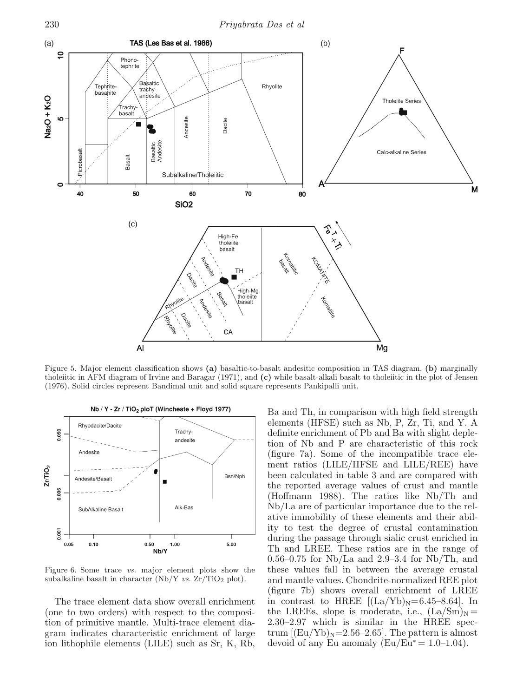

Figure 5. Major element classification shows **(a)** basaltic-to-basalt andesitic composition in TAS diagram, **(b)** marginally tholeiitic in AFM diagram of Irvine and Baragar (1971), and **(c)** while basalt-alkali basalt to tholeiitic in the plot of Jensen (1976). Solid circles represent Bandimal unit and solid square represents Pankipalli unit.



Figure 6. Some trace vs. major element plots show the subalkaline basalt in character (Nb/Y vs.  $Zr/TiO<sub>2</sub>$  plot).

The trace element data show overall enrichment (one to two orders) with respect to the composition of primitive mantle. Multi-trace element diagram indicates characteristic enrichment of large ion lithophile elements (LILE) such as Sr, K, Rb,

Ba and Th, in comparison with high field strength elements (HFSE) such as Nb, P, Zr, Ti, and Y. A definite enrichment of Pb and Ba with slight depletion of Nb and P are characteristic of this rock (figure 7a). Some of the incompatible trace element ratios (LILE/HFSE and LILE/REE) have been calculated in table 3 and are compared with the reported average values of crust and mantle (Hoffmann 1988). The ratios like Nb/Th and Nb/La are of particular importance due to the relative immobility of these elements and their ability to test the degree of crustal contamination during the passage through sialic crust enriched in Th and LREE. These ratios are in the range of 0.56–0.75 for Nb/La and 2.9–3.4 for Nb/Th, and these values fall in between the average crustal and mantle values. Chondrite-normalized REE plot (figure 7b) shows overall enrichment of LREE in contrast to HREE  $[(La/Yb)_N=6.45-8.64]$ . In the LREEs, slope is moderate, i.e.,  $(La/Sm)<sub>N</sub>$  = 2.30–2.97 which is similar in the HREE spectrum  $[(Eu/Yb)_N=2.56-2.65]$ . The pattern is almost devoid of any Eu anomaly ( $Eu/Eu^* = 1.0-1.04$ ).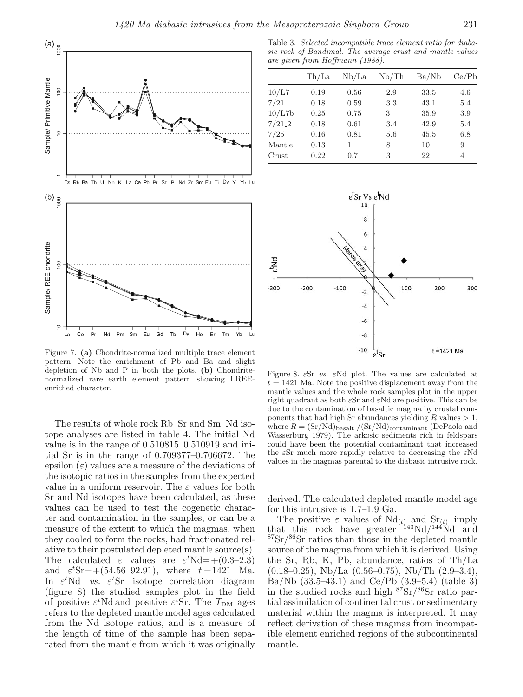

Figure 7. **(a)** Chondrite-normalized multiple trace element pattern. Note the enrichment of Pb and Ba and slight depletion of Nb and P in both the plots. **(b)** Chondritenormalized rare earth element pattern showing LREEenriched character.

The results of whole rock Rb–Sr and Sm–Nd isotope analyses are listed in table 4. The initial Nd value is in the range of 0.510815–0.510919 and initial Sr is in the range of 0.709377–0.706672. The epsilon  $(\varepsilon)$  values are a measure of the deviations of the isotopic ratios in the samples from the expected value in a uniform reservoir. The  $\varepsilon$  values for both Sr and Nd isotopes have been calculated, as these values can be used to test the cogenetic character and contamination in the samples, or can be a measure of the extent to which the magmas, when they cooled to form the rocks, had fractionated relative to their postulated depleted mantle source(s). The calculated  $\varepsilon$  values are  $\varepsilon^t$ Nd=+(0.3-2.3) and  $\varepsilon^{t}$ Sr = + (54.56-92.91), where  $t = 1421$  Ma. In  $\varepsilon^t$ Nd vs.  $\varepsilon^t$ Sr isotope correlation diagram (figure 8) the studied samples plot in the field of positive  $\varepsilon^t$ Nd and positive  $\varepsilon^t$ Sr. The  $T_{DM}$  ages refers to the depleted mantle model ages calculated from the Nd isotope ratios, and is a measure of the length of time of the sample has been separated from the mantle from which it was originally

Table 3. Selected incompatible trace element ratio for diabasic rock of Bandimal. The average crust and mantle values are given from Hoffmann (1988).

|            | Th/La | Nb/La | Nb/Th | Ba/Nb | Ce/Pb |
|------------|-------|-------|-------|-------|-------|
| 10/L7      | 0.19  | 0.56  | 2.9   | 33.5  | 4.6   |
| 7/21       | 0.18  | 0.59  | 3.3   | 43.1  | 5.4   |
| 10/L7b     | 0.25  | 0.75  | 3     | 35.9  | 3.9   |
| $7/21 - 2$ | 0.18  | 0.61  | 3.4   | 42.9  | 5.4   |
| 7/25       | 0.16  | 0.81  | 5.6   | 45.5  | 6.8   |
| Mantle     | 0.13  | 1     | 8     | 10    | 9     |
| Crust      | 0.22  | 0.7   | 3     | 22    | 4     |



Figure 8.  $\epsilon$ Sr *vs.*  $\epsilon$ Nd plot. The values are calculated at  $t = 1421$  Ma. Note the positive displacement away from the mantle values and the whole rock samples plot in the upper right quadrant as both  $\epsilon$ Sr and  $\epsilon$ Nd are positive. This can be due to the contamination of basaltic magma by crustal components that had high Sr abundances yielding  $R$  values  $> 1$ . where  $R = (Sr/Nd)_{basalt} / (Sr/Nd)_{contaminant}$  (DePaolo and Wasserburg 1979). The arkosic sediments rich in feldspars could have been the potential contaminant that increased the  $\epsilon$ Sr much more rapidly relative to decreasing the  $\epsilon$ Nd values in the magmas parental to the diabasic intrusive rock.

derived. The calculated depleted mantle model age for this intrusive is 1.7–1.9 Ga.

The positive  $\varepsilon$  values of  $\mathrm{Nd}_{(t)}$  and  $\mathrm{Sr}_{(t)}$  imply that this rock have greater  $143Nd/144Nd$  and  $87\,\mathrm{Sr}/86\,\mathrm{Sr}$  ratios than those in the depleted mantle source of the magma from which it is derived. Using the Sr, Rb, K, Pb, abundance, ratios of Th/La  $(0.18-0.25)$ , Nb/La  $(0.56-0.75)$ , Nb/Th  $(2.9-3.4)$ , Ba/Nb (33.5–43.1) and Ce/Pb (3.9–5.4) (table 3) in the studied rocks and high <sup>87</sup>Sr/<sup>86</sup>Sr ratio partial assimilation of continental crust or sedimentary material within the magma is interpreted. It may reflect derivation of these magmas from incompatible element enriched regions of the subcontinental mantle.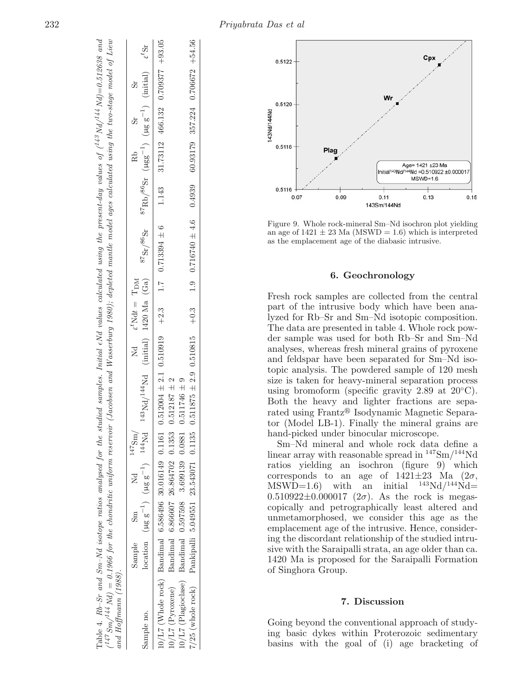| Table 4. $Rb$ -Sr and Sm-Nd isotope ratios analysed for the studied samples. Initial $\epsilon$ Nd values calculated using the present-day values of $(^{14.3}Nd/^{14.4}Nd)=0.512638$ and<br>$^{147}Sm/^{144}Nd$ = 0.1966 for the chondritic uniform reservoir (Jacobsen and Wasserburg 1980); depleted mantle model ages calculated using the two-stage model of Liew<br>and Hoffmann $(1988)$ . |        |        |                                                                                    |                                                             |                                                                                                                                          |                                                                                                                                                                                                                     |                                                  |          |  |
|---------------------------------------------------------------------------------------------------------------------------------------------------------------------------------------------------------------------------------------------------------------------------------------------------------------------------------------------------------------------------------------------------|--------|--------|------------------------------------------------------------------------------------|-------------------------------------------------------------|------------------------------------------------------------------------------------------------------------------------------------------|---------------------------------------------------------------------------------------------------------------------------------------------------------------------------------------------------------------------|--------------------------------------------------|----------|--|
|                                                                                                                                                                                                                                                                                                                                                                                                   | Sample | $\sin$ | Nd $147 \text{Sm}$                                                                 |                                                             | $\label{eq:1} \begin{array}{lll} \mathrm{Nd} & \quad \  \  \epsilon^t \mathrm{N} \mathrm{d}t \; = \; \mathrm{T}_\mathrm{DM} \end{array}$ |                                                                                                                                                                                                                     |                                                  | Rb<br>Sr |  |
| sample no.                                                                                                                                                                                                                                                                                                                                                                                        |        |        | location ( $\mu$ g g <sup>-1</sup> ) ( $\mu$ g g <sup>-1</sup> ) <sup>144</sup> Nd |                                                             |                                                                                                                                          | $^{143}\text{Nd} / ^{144}\text{Nd}$ (initial) 1420 Ma (Ga) $^{87}\text{Sr} / ^{86}\text{Sr}$ $^{87}\text{Rb} / ^{86}\text{Sr}$ ( $\mu\text{gg}^{-1}$ ) ( $\mu\text{gg}^{-1}$ ) (initial) $\epsilon$ <sup>t</sup> Sr |                                                  |          |  |
| 10/L7 (Whole rock) Bandimal 6.586496 30.016149 0.1161                                                                                                                                                                                                                                                                                                                                             |        |        |                                                                                    | $0.512004 \pm 2.1$ $0.510919$ $+2.3$ $1.7$ $0.713394 \pm 6$ |                                                                                                                                          |                                                                                                                                                                                                                     | $1.143$ $31.73112$ $466.132$ $0.709377$ $+93.05$ |          |  |
| $10/L7$ (Pyroxene)                                                                                                                                                                                                                                                                                                                                                                                |        |        | Bandimal 6.866607 26.864702 0.1353                                                 | $0.512187 \pm 2$                                            |                                                                                                                                          |                                                                                                                                                                                                                     |                                                  |          |  |
| 0/L7 (Plagioclase) Bandimal 0.597598 3.699139 0.0881                                                                                                                                                                                                                                                                                                                                              |        |        |                                                                                    | $0.511746 \pm 9$                                            |                                                                                                                                          |                                                                                                                                                                                                                     |                                                  |          |  |
| 7/25 (whole rock) Pankipalli 5.049551 23.543071 0.1135                                                                                                                                                                                                                                                                                                                                            |        |        |                                                                                    |                                                             |                                                                                                                                          | $0.511875 \pm 2.9$ $0.510815$ $+0.3$ $1.9$ $0.716740 \pm 4.6$ $0.4939$ $60.93179$ $357.224$ $0.706672$ $+54.56$                                                                                                     |                                                  |          |  |



Figure 9. Whole rock-mineral Sm–Nd isochron plot yielding an age of  $1421 \pm 23$  Ma (MSWD = 1.6) which is interpreted as the emplacement age of the diabasic intrusive.

## **6. Geochronology**

Fresh rock samples are collected from the central part of the intrusive body which have been analyzed for Rb–Sr and Sm–Nd isotopic composition. The data are presented in table 4. Whole rock powder sample was used for both Rb–Sr and Sm–Nd analyses, whereas fresh mineral grains of pyroxene and feldspar have been separated for Sm–Nd isotopic analysis. The powdered sample of 120 mesh size is taken for heavy-mineral separation process using bromoform (specific gravity 2.89 at  $20^{\circ}$ C). Both the heavy and lighter fractions are separated using Frantz® Isodynamic Magnetic Separator (Model LB-1). Finally the mineral grains are hand-picked under binocular microscope.

Sm–Nd mineral and whole rock data define a linear array with reasonable spread in <sup>147</sup>Sm/<sup>144</sup>Nd ratios yielding an isochron (figure 9) which corresponds to an age of  $1421\pm23$  Ma  $(2\sigma,$  $MSWD=1.6$ ) with an initial  $^{143}Nd/^{144}Nd=$  $0.510922 \pm 0.000017$  ( $2\sigma$ ). As the rock is megascopically and petrographically least altered and unmetamorphosed, we consider this age as the emplacement age of the intrusive. Hence, considering the discordant relationship of the studied intrusive with the Saraipalli strata, an age older than ca. 1420 Ma is proposed for the Saraipalli Formation of Singhora Group.

### **7. Discussion**

Going beyond the conventional approach of studying basic dykes within Proterozoic sedimentary basins with the goal of (i) age bracketing of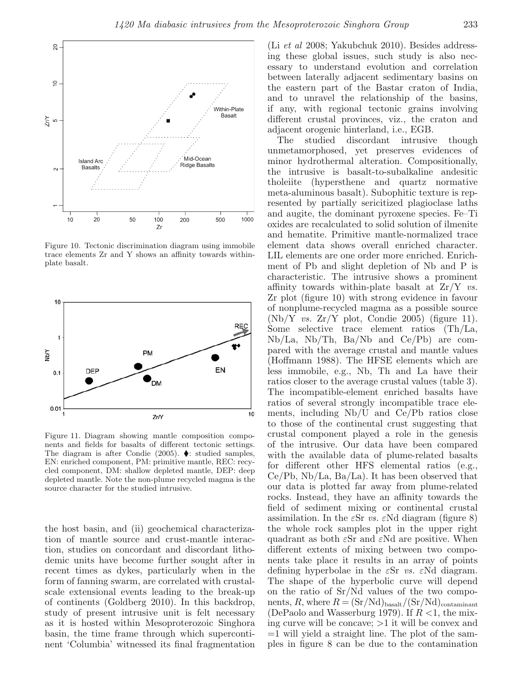

Figure 10. Tectonic discrimination diagram using immobile trace elements Zr and Y shows an affinity towards withinplate basalt.



Figure 11. Diagram showing mantle composition components and fields for basalts of different tectonic settings. The diagram is after Condie (2005).  $\blacklozenge$ : studied samples, EN: enriched component, PM: primitive mantle, REC: recycled component, DM: shallow depleted mantle, DEP: deep depleted mantle. Note the non-plume recycled magma is the source character for the studied intrusive.

the host basin, and (ii) geochemical characterization of mantle source and crust-mantle interaction, studies on concordant and discordant lithodemic units have become further sought after in recent times as dykes, particularly when in the form of fanning swarm, are correlated with crustalscale extensional events leading to the break-up of continents (Goldberg 2010). In this backdrop, study of present intrusive unit is felt necessary as it is hosted within Mesoproterozoic Singhora basin, the time frame through which supercontinent 'Columbia' witnessed its final fragmentation

(Li et al 2008; Yakubchuk 2010). Besides addressing these global issues, such study is also necessary to understand evolution and correlation between laterally adjacent sedimentary basins on the eastern part of the Bastar craton of India, and to unravel the relationship of the basins, if any, with regional tectonic grains involving different crustal provinces, viz., the craton and adjacent orogenic hinterland, i.e., EGB.

The studied discordant intrusive though unmetamorphosed, yet preserves evidences of minor hydrothermal alteration. Compositionally, the intrusive is basalt-to-subalkaline andesitic tholeiite (hypersthene and quartz normative meta-aluminous basalt). Subophitic texture is represented by partially sericitized plagioclase laths and augite, the dominant pyroxene species. Fe–Ti oxides are recalculated to solid solution of ilmenite and hematite. Primitive mantle-normalized trace element data shows overall enriched character. LIL elements are one order more enriched. Enrichment of Pb and slight depletion of Nb and P is characteristic. The intrusive shows a prominent affinity towards within-plate basalt at  $Zr/Y$  vs. Zr plot (figure 10) with strong evidence in favour of nonplume-recycled magma as a possible source  $(Nb/Y$  vs.  $Zr/Y$  plot, Condie 2005) (figure 11). Some selective trace element ratios (Th/La, Nb/La, Nb/Th, Ba/Nb and Ce/Pb) are compared with the average crustal and mantle values (Hoffmann 1988). The HFSE elements which are less immobile, e.g., Nb, Th and La have their ratios closer to the average crustal values (table 3). The incompatible-element enriched basalts have ratios of several strongly incompatible trace elements, including Nb/U and Ce/Pb ratios close to those of the continental crust suggesting that crustal component played a role in the genesis of the intrusive. Our data have been compared with the available data of plume-related basalts for different other HFS elemental ratios (e.g., Ce/Pb, Nb/La, Ba/La). It has been observed that our data is plotted far away from plume-related rocks. Instead, they have an affinity towards the field of sediment mixing or continental crustal assimilation. In the  $\varepsilon$ Sr vs.  $\varepsilon$ Nd diagram (figure 8) the whole rock samples plot in the upper right quadrant as both  $\epsilon$ Sr and  $\epsilon$ Nd are positive. When different extents of mixing between two components take place it results in an array of points defining hyperbolae in the  $\varepsilon$ Sr vs.  $\varepsilon$ Nd diagram. The shape of the hyperbolic curve will depend on the ratio of Sr/Nd values of the two components, R, where  $R = (Sr/Nd)_{basalt}/(Sr/Nd)_{contaminant}$ (DePaolo and Wasserburg 1979). If  $R < 1$ , the mixing curve will be concave;  $>1$  it will be convex and  $=1$  will yield a straight line. The plot of the samples in figure 8 can be due to the contamination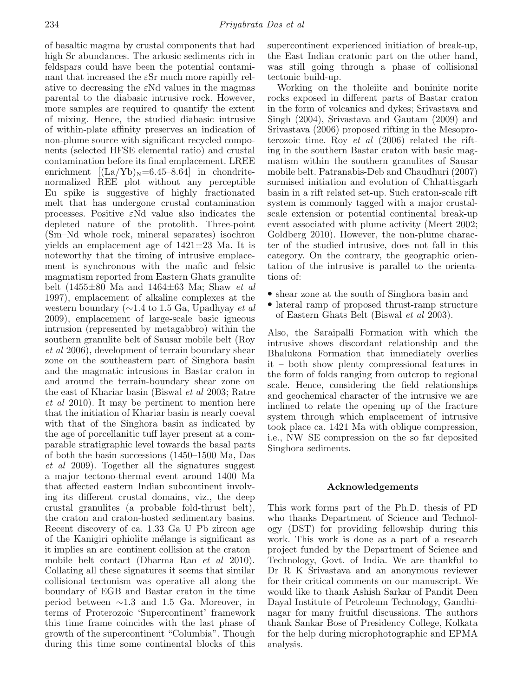of basaltic magma by crustal components that had high Sr abundances. The arkosic sediments rich in feldspars could have been the potential contaminant that increased the  $\epsilon$ Sr much more rapidly relative to decreasing the  $\epsilon$ Nd values in the magmas parental to the diabasic intrusive rock. However, more samples are required to quantify the extent of mixing. Hence, the studied diabasic intrusive of within-plate affinity preserves an indication of non-plume source with significant recycled components (selected HFSE elemental ratio) and crustal contamination before its final emplacement. LREE enrichment  $[(La/Yb)<sub>N</sub>=6.45-8.64]$  in chondritenormalized REE plot without any perceptible Eu spike is suggestive of highly fractionated melt that has undergone crustal contamination processes. Positive  $\epsilon$ Nd value also indicates the depleted nature of the protolith. Three-point (Sm–Nd whole rock, mineral separates) isochron yields an emplacement age of 1421±23 Ma. It is noteworthy that the timing of intrusive emplacement is synchronous with the mafic and felsic magmatism reported from Eastern Ghats granulite belt (1455 $\pm$ 80 Ma and 1464 $\pm$ 63 Ma; Shaw *et al* 1997), emplacement of alkaline complexes at the western boundary ( $\sim$ 1.4 to 1.5 Ga, Upadhyay et al 2009), emplacement of large-scale basic igneous intrusion (represented by metagabbro) within the southern granulite belt of Sausar mobile belt (Roy et al 2006), development of terrain boundary shear zone on the southeastern part of Singhora basin and the magmatic intrusions in Bastar craton in and around the terrain-boundary shear zone on the east of Khariar basin (Biswal et al 2003; Ratre et al 2010). It may be pertinent to mention here that the initiation of Khariar basin is nearly coeval with that of the Singhora basin as indicated by the age of porcellanitic tuff layer present at a comparable stratigraphic level towards the basal parts of both the basin successions (1450–1500 Ma, Das et al 2009). Together all the signatures suggest a major tectono-thermal event around 1400 Ma that affected eastern Indian subcontinent involving its different crustal domains, viz., the deep crustal granulites (a probable fold-thrust belt), the craton and craton-hosted sedimentary basins. Recent discovery of ca. 1.33 Ga U–Pb zircon age of the Kanigiri ophiolite m´elange is significant as it implies an arc–continent collision at the craton– mobile belt contact (Dharma Rao et al 2010). Collating all these signatures it seems that similar collisional tectonism was operative all along the boundary of EGB and Bastar craton in the time period between ∼1.3 and 1.5 Ga. Moreover, in terms of Proterozoic 'Supercontinent' framework this time frame coincides with the last phase of growth of the supercontinent "Columbia". Though during this time some continental blocks of this supercontinent experienced initiation of break-up, the East Indian cratonic part on the other hand, was still going through a phase of collisional tectonic build-up.

Working on the tholeiite and boninite–norite rocks exposed in different parts of Bastar craton in the form of volcanics and dykes; Srivastava and Singh (2004), Srivastava and Gautam (2009) and Srivastava (2006) proposed rifting in the Mesoproterozoic time. Roy et al (2006) related the rifting in the southern Bastar craton with basic magmatism within the southern granulites of Sausar mobile belt. Patranabis-Deb and Chaudhuri (2007) surmised initiation and evolution of Chhattisgarh basin in a rift related set-up. Such craton-scale rift system is commonly tagged with a major crustalscale extension or potential continental break-up event associated with plume activity (Meert 2002; Goldberg 2010). However, the non-plume character of the studied intrusive, does not fall in this category. On the contrary, the geographic orientation of the intrusive is parallel to the orientations of:

- shear zone at the south of Singhora basin and
- lateral ramp of proposed thrust-ramp structure of Eastern Ghats Belt (Biswal et al 2003).

Also, the Saraipalli Formation with which the intrusive shows discordant relationship and the Bhalukona Formation that immediately overlies it – both show plenty compressional features in the form of folds ranging from outcrop to regional scale. Hence, considering the field relationships and geochemical character of the intrusive we are inclined to relate the opening up of the fracture system through which emplacement of intrusive took place ca. 1421 Ma with oblique compression, i.e., NW–SE compression on the so far deposited Singhora sediments.

#### **Acknowledgements**

This work forms part of the Ph.D. thesis of PD who thanks Department of Science and Technology (DST) for providing fellowship during this work. This work is done as a part of a research project funded by the Department of Science and Technology, Govt. of India. We are thankful to Dr R K Srivastava and an anonymous reviewer for their critical comments on our manuscript. We would like to thank Ashish Sarkar of Pandit Deen Dayal Institute of Petroleum Technology, Gandhinagar for many fruitful discussions. The authors thank Sankar Bose of Presidency College, Kolkata for the help during microphotographic and EPMA analysis.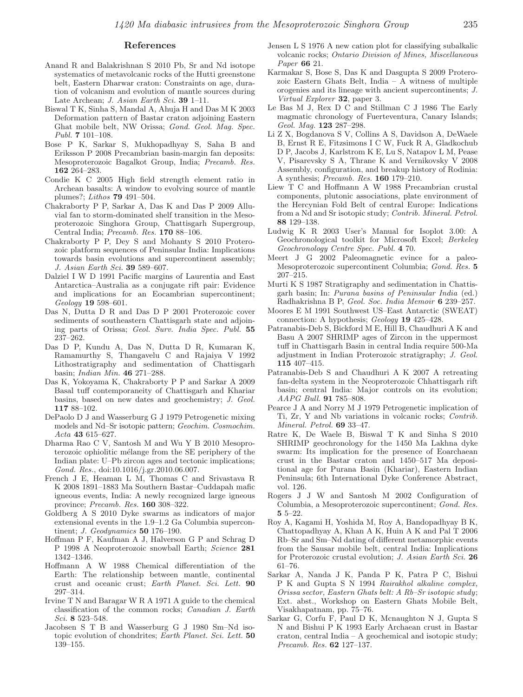#### **References**

- Anand R and Balakrishnan S 2010 Pb, Sr and Nd isotope systematics of metavolcanic rocks of the Hutti greenstone belt, Eastern Dharwar craton: Constraints on age, duration of volcanism and evolution of mantle sources during Late Archean; J. Asian Earth Sci. **39** 1–11.
- Biswal T K, Sinha S, Mandal A, Ahuja H and Das M K 2003 Deformation pattern of Bastar craton adjoining Eastern Ghat mobile belt, NW Orissa; Gond. Geol. Mag. Spec. Publ. **7** 101–108.
- Bose P K, Sarkar S, Mukhopadhyay S, Saha B and Eriksson P 2008 Precambrian basin-margin fan deposits: Mesoproterozoic Bagalkot Group, India; Precamb. Res. **162** 264–283.
- Condie K C 2005 High field strength element ratio in Archean basalts: A window to evolving source of mantle plumes?; Lithos **79** 491–504.
- Chakraborty P P, Sarkar A, Das K and Das P 2009 Alluvial fan to storm-dominated shelf transition in the Mesoproterozoic Singhora Group, Chattisgarh Supergroup, Central India; Precamb. Res. **170** 88–106.
- Chakraborty P P, Dey S and Mohanty S 2010 Proterozoic platform sequences of Peninsular India: Implications towards basin evolutions and supercontinent assembly; J. Asian Earth Sci. **39** 589–607.
- Dalziel I W D 1991 Pacific margins of Laurentia and East Antarctica–Australia as a conjugate rift pair: Evidence and implications for an Eocambrian supercontinent; Geology **19** 598–601.
- Das N, Dutta D R and Das D P 2001 Proterozoic cover sediments of southeastern Chattisgarh state and adjoining parts of Orissa; Geol. Surv. India Spec. Publ. **55** 237–262.
- Das D P, Kundu A, Das N, Dutta D R, Kumaran K, Ramamurthy S, Thangavelu C and Rajaiya V 1992 Lithostratigraphy and sedimentation of Chattisgarh basin; Indian Min. **46** 271–288.
- Das K, Yokoyama K, Chakraborty P P and Sarkar A 2009 Basal tuff contemporaneity of Chattisgarh and Khariar basins, based on new dates and geochemistry; J. Geol. **117** 88–102.
- DePaolo D J and Wasserburg G J 1979 Petrogenetic mixing models and Nd–Sr isotopic pattern; Geochim. Cosmochim. Acta **43** 615–627.
- Dharma Rao C V, Santosh M and Wu Y B 2010 Mesoproterozoic ophiolitic mélange from the SE periphery of the Indian plate: U–Pb zircon ages and tectonic implications; Gond. Res., doi:10.1016/j.gr.2010.06.007.
- French J E, Heaman L M, Thomas C and Srivastava R K 2008 1891–1883 Ma Southern Bastar–Cuddapah mafic igneous events, India: A newly recognized large igneous province; Precamb. Res. **160** 308–322.
- Goldberg A S 2010 Dyke swarms as indicators of major extensional events in the 1.9–1.2 Ga Columbia supercontinent; J. Geodynamics **50** 176–190.
- Hoffman P F, Kaufman A J, Halverson G P and Schrag D P 1998 A Neoproterozoic snowball Earth; Science **281** 1342–1346.
- Hoffmann A W 1988 Chemical differentiation of the Earth: The relationship between mantle, continental crust and oceanic crust; Earth Planet. Sci. Lett. **90** 297–314.
- Irvine T N and Baragar W R A 1971 A guide to the chemical classification of the common rocks; Canadian J. Earth Sci. **8** 523–548.
- Jacobsen S T B and Wasserburg G J 1980 Sm–Nd isotopic evolution of chondrites; Earth Planet. Sci. Lett. **50** 139–155.
- Jensen L S 1976 A new cation plot for classifying subalkalic volcanic rocks; Ontario Division of Mines, Miscellaneous Paper **66** 21.
- Karmakar S, Bose S, Das K and Dasgupta S 2009 Proterozoic Eastern Ghats Belt, India – A witness of multiple orogenies and its lineage with ancient supercontinents; J. Virtual Explorer **32**, paper 3.
- Le Bas M J, Rex D C and Stillman C J 1986 The Early magmatic chronology of Fuerteventura, Canary Islands; Geol. Mag. **123** 287–298.
- Li Z X, Bogdanova S V, Collins A S, Davidson A, DeWaele B, Ernst R E, Fitzsimons I C W, Fuck R A, Gladkochub D P, Jacobs J, Karlstrom K E, Lu S, Natapov L M, Pease V, Pisarevsky S A, Thrane K and Vernikovsky V 2008 Assembly, configuration, and breakup history of Rodinia: A synthesis; Precamb. Res. **160** 179–210.
- Liew T C and Hoffmann A W 1988 Precambrian crustal components, plutonic associations, plate environment of the Hercynian Fold Belt of central Europe: Indications from a Nd and Sr isotopic study; Contrib. Mineral. Petrol. **88** 129–138.
- Ludwig K R 2003 User's Manual for Isoplot 3.00: A Geochronological toolkit for Microsoft Excel; Berkeley Geochronology Centre Spec. Publ. **4** 70.
- Meert J G 2002 Paleomagnetic evince for a paleo-Mesoproterozoic supercontinent Columbia; Gond. Res. **5** 207–215.
- Murti K S 1987 Stratigraphy and sedimentation in Chattisgarh basin; In: Purana basins of Peninsular India (ed.) Radhakrishna B P, Geol. Soc. India Memoir **6** 239–257.
- Moores E M 1991 Southwest US–East Antarctic (SWEAT) connection: A hypothesis; Geology **19** 425–428.
- Patranabis-Deb S, Bickford M E, Hill B, Chaudhuri A K and Basu A 2007 SHRIMP ages of Zircon in the uppermost tuff in Chattisgarh Basin in central India require 500-Ma adjustment in Indian Proterozoic stratigraphy; J. Geol. **115** 407–415.
- Patranabis-Deb S and Chaudhuri A K 2007 A retreating fan-delta system in the Neoproterozoic Chhattisgarh rift basin; central India: Major controls on its evolution; AAPG Bull. **91** 785–808.
- Pearce J A and Norry M J 1979 Petrogenetic implication of Ti, Zr, Y and Nb variations in volcanic rocks; Contrib. Mineral. Petrol. **69** 33–47.
- Ratre K, De Waele B, Biswal T K and Sinha S 2010 SHRIMP geochronology for the 1450 Ma Lakhna dyke swarm: Its implication for the presence of Eoarchaean crust in the Bastar craton and 1450–517 Ma depositional age for Purana Basin (Khariar), Eastern Indian Peninsula; 6th International Dyke Conference Abstract, vol. 126.
- Rogers J J W and Santosh M 2002 Configuration of Columbia, a Mesoproterozoic supercontinent; Gond. Res. **5** 5–22.
- Roy A, Kagami H, Yoshida M, Roy A, Bandopadhyay B K, Chattopadhyay A, Khan A K, Huin A K and Pal T 2006 Rb–Sr and Sm–Nd dating of different metamorphic events from the Sausar mobile belt, central India: Implications for Proterozoic crustal evolution; J. Asian Earth Sci. **26** 61–76.
- Sarkar A, Nanda J K, Panda P K, Patra P C, Bishui P K and Gupta S N 1994 Rairakhol alkaline complex, Orissa sector, Eastern Ghats belt: A Rb–Sr isotopic study; Ext. abst., Workshop on Eastern Ghats Mobile Belt, Visakhapatnam, pp. 75–76.
- Sarkar G, Corfu F, Paul D K, Mcnaughton N J, Gupta S N and Bishui P K 1993 Early Archaean crust in Bastar craton, central India – A geochemical and isotopic study; Precamb. Res. **62** 127–137.